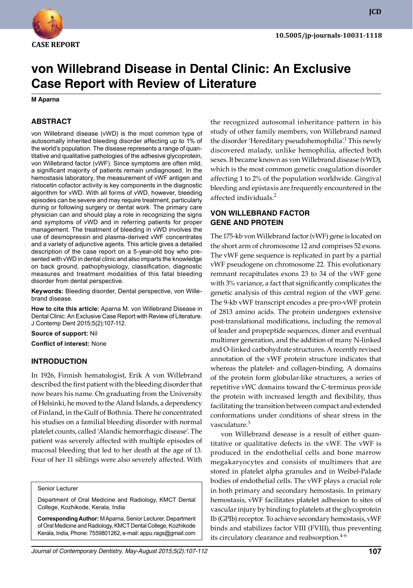

# **von Willebrand Disease in Dental Clinic: An Exclusive Case Report with Review of Literature**

**M Aparna**

#### **ABSTRACT**

von Willebrand disease (vWD) is the most common type of autosomally inherited bleeding disorder affecting up to 1% of the world's population. The disease represents a range of quantitative and qualitative pathologies of the adhesive glycoprotein, von Willebrand factor (vWF). Since symptoms are often mild, a significant majority of patients remain undiagnosed. In the hemostasis laboratory, the measurement of vWF antigen and ristocetin cofactor activity is key components in the diagnostic algorithm for vWD. With all forms of vWD, however, bleeding episodes can be severe and may require treatment, particularly during or following surgery or dental work. The primary care physician can and should play a role in recognizing the signs and symptoms of vWD and in referring patients for proper management. The treatment of bleeding in vWD involves the use of desmopressin and plasma-derived vWF concentrates and a variety of adjunctive agents. This article gives a detailed description of the case report on a 5-year-old boy who presented with vWD in dental clinic and also imparts the knowledge on back ground, pathophysiology, classification, diagnostic measures and treatment modalities of this fatal bleeding disorder from dental perspective.

Keywords: Bleeding disorder, Dental perspective, von Willebrand disease.

**How to cite this article:** Aparna M. von Willebrand Disease in Dental Clinic: An Exclusive Case Report with Review of Literature. J Contemp Dent 2015;5(2):107-112.

**Source of support:** Nil

**Conflict of interest:** None

#### **Introduction**

In 1926, Finnish hematologist, Erik A von Willebrand described the first patient with the bleeding disorder that now bears his name. On graduating from the University of Helsinki, he moved to the Aland Islands, a dependency of Finland, in the Gulf of Bothnia. There he concentrated his studies on a familial bleeding disorder with normal platelet counts, called 'Alandic hemorrhagic disease'. The patient was severely affected with multiple episodes of mucosal bleeding that led to her death at the age of 13. Four of her 11 siblings were also severely affected. With

Senior Lecturer

Department of Oral Medicine and Radiology, KMCT Dental College, Kozhikode, Kerala, India

**Corresponding Author:** M Aparna, Senior Lecturer, Department of Oral Medicine and Radiology, KMCT Dental College, Kozhikode Kerala, India, Phone: 7559801262, e-mail: appu.rags@gmail.com

the recognized autosomal inheritance pattern in his study of other family members, von Willebrand named the disorder 'Hereditary pseudohemophilia'.<sup>1</sup> This newly discovered malady, unlike hemophilia, affected both sexes. It became known as von Willebrand disease (vWD), which is the most common genetic coagulation disorder affecting 1 to 2% of the population worldwide. Gingival bleeding and epistaxis are frequently encountered in the affected individuals.<sup>2</sup>

#### **vON WILLEBRAND FACTOR GENE AND PROTEIN**

The 175-kb von willebrand factor (vWF) gene is located on the short arm of chromosome 12 and comprises 52 exons. The vWF gene sequence is replicated in part by a partial vWF pseudogene on chromosome 22. This evolutionary remnant recapitulates exons 23 to 34 of the vWF gene with 3% variance, a fact that significantly complicates the genetic analysis of this central region of the vWF gene. The 9-kb vWF transcript encodes a pre-pro-vWF protein of 2813 amino acids. The protein undergoes extensive post-translational modifications, including the removal of leader and propeptide sequences, dimer and eventual multimer generation, and the addition of many N-linked and O-linked carbohydrate structures. A recently revised annotation of the vWF protein structure indicates that whereas the platelet- and collagen-binding. A domains of the protein form globular-like structures, a series of repetitive vWC domains toward the C-terminus provide the protein with increased length and flexibility, thus facilitating the transition between compact and extended conformations under conditions of shear stress in the vasculature.<sup>3</sup>

von Willebrand desease is a result of either quantitative or qualitative defects in the vWF. The vWF is produced in the endothelial cells and bone marrow megakaryocytes and consists of multimers that are stored in platelet alpha granules and in Weibel-Palade bodies of endothelial cells. The vWF plays a crucial role in both primary and secondary hemostasis. In primary hemostasis, vWF facilitates platelet adhesion to sites of vascular injury by binding to platelets at the glycoprotein Ib (GPIb) receptor. To achieve secondary hemostasis, vWF binds and stabilizes factor VIII (FVIII), thus preventing its circulatory clearance and reabsorption.<sup>4-6</sup>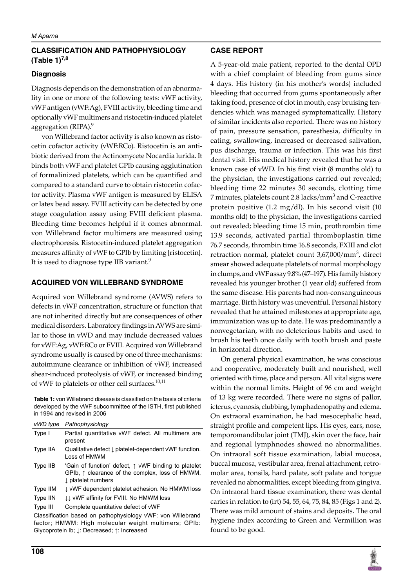## **CLASSIFICATION AND PATHOPHYSIOLOGY (Table 1)7,8**

### **Diagnosis**

Diagnosis depends on the demonstration of an abnormality in one or more of the following tests: vWF activity, vWF antigen (vWF:Ag), FVIII activity, bleeding time and optionally vWF multimers and ristocetin-induced platelet aggregation (RIPA).<sup>9</sup>

von Willebrand factor activity is also known as ristocetin cofactor activity (vWF:RCo). Ristocetin is an antibiotic derived from the Actinomycete Nocardia lurida. It binds both vWF and platelet GPIb causing agglutination of formalinized platelets, which can be quantified and compared to a standard curve to obtain ristocetin cofactor activity. Plasma vWF antigen is measured by ELISA or latex bead assay. FVIII activity can be detected by one stage coagulation assay using FVIII deficient plasma. Bleeding time becomes helpful if it comes abnormal. von Willebrand factor multimers are measured using electrophoresis. Ristocetin-induced platelet aggregation measures affinity of vWF to GPIb by limiting [ristocetin]. It is used to diagnose type IIB variant.<sup>9</sup>

## **ACQUIRED vON WILLEBRAND SYNDROME**

Acquired von Willebrand syndrome (AVWS) refers to defects in vWF concentration, structure or function that are not inherited directly but are consequences of other medical disorders. Laboratory findings in AVWS are similar to those in vWD and may include decreased values for vWF:Ag, vWF:RCo or FVIII. Acquired von Willebrand syndrome usually is caused by one of three mechanisms: autoimmune clearance or inhibition of vWF, increased shear-induced proteolysis of vWF, or increased binding of vWF to platelets or other cell surfaces.<sup>10,11</sup>

**Table 1:** von Willebrand disease is classified on the basis of criteria developed by the vWF subcommittee of the ISTH, first published in 1994 and revised in 2006

| vWD type | Pathophysiology                                                                                                                                 |
|----------|-------------------------------------------------------------------------------------------------------------------------------------------------|
| Type I   | Partial quantitative vWF defect. All multimers are<br>present                                                                                   |
| Type IIA | Qualitative defect $\downarrow$ platelet-dependent vWF function.<br>Loss of HMWM                                                                |
| Type IIB | 'Gain of function' defect, $\uparrow$ vWF binding to platelet<br>GPIb, $\uparrow$ clearance of the complex, loss of HMWM,<br>I platelet numbers |
| Type IIM | ↓ vWF dependent platelet adhesion. No HMWM loss                                                                                                 |
| Type IIN | <b>II vWF affinity for FVIII. No HMWM loss</b>                                                                                                  |
| Type III | Complete quantitative defect of vWF                                                                                                             |

Classification based on pathophysiology vWF: von Willebrand factor; HMWM: High molecular weight multimers; GPIb: glycoprotein Ib; ↓: decreased; ↑: increased

## **CASE report**

A 5-year-old male patient, reported to the dental OPD with a chief complaint of bleeding from gums since 4 days. His history (in his mother's words) included bleeding that occurred from gums spontaneously after taking food, presence of clot in mouth, easy bruising tendencies which was managed symptomatically. History of similar incidents also reported. There was no history of pain, pressure sensation, paresthesia, difficulty in eating, swallowing, increased or decreased salivation, pus discharge, trauma or infection. This was his first dental visit. His medical history revealed that he was a known case of vWD. In his first visit (8 months old) to the physician, the investigations carried out revealed; bleeding time 22 minutes 30 seconds, clotting time 7 minutes, platelets count 2.8 lacks/mm $^3$  and C-reactive protein positive (1.2 mg/dl). In his second visit (10 months old) to the physician, the investigations carried out revealed; bleeding time 15 min, prothrombin time 13.9 seconds, activated partial thromboplastin time 76.7 seconds, thrombin time 16.8 seconds, FXIII and clot retraction normal, platelet count 3,67,000/mm<sup>3</sup>, direct smear showed adequate platelets of normal morphology in clumps, and vWF assay 9.8% (47–197). His family history revealed his younger brother (1 year old) suffered from the same disease. His parents had non-consanguineous marriage. Birth history was uneventful. Personal history revealed that he attained milestones at appropriate age, immunization was up to date. He was predominantly a nonvegetarian, with no deleterious habits and used to brush his teeth once daily with tooth brush and paste in horizontal direction.

On general physical examination, he was conscious and cooperative, moderately built and nourished, well oriented with time, place and person. All vital signs were within the normal limits. Height of 96 cm and weight of 13 kg were recorded. There were no signs of pallor, icterus, cyanosis, clubbing, lymphadenopathy and edema. On extraoral examination, he had mesocephalic head, straight profile and competent lips. His eyes, ears, nose, temporomandibular joint (TMJ), skin over the face, hair and regional lymphnodes showed no abnormalities. On intraoral soft tissue examination, labial mucosa, buccal mucosa, vestibular area, frenal attachment, retromolar area, tonsils, hard palate, soft palate and tongue revealed no abnormalities, except bleeding from gingiva. On intraoral hard tissue examination, there was dental caries in relation to (irt) 54, 55, 64, 75, 84, 85 (Figs 1 and 2). There was mild amount of stains and deposits. The oral hygiene index according to Green and Vermillion was found to be good.

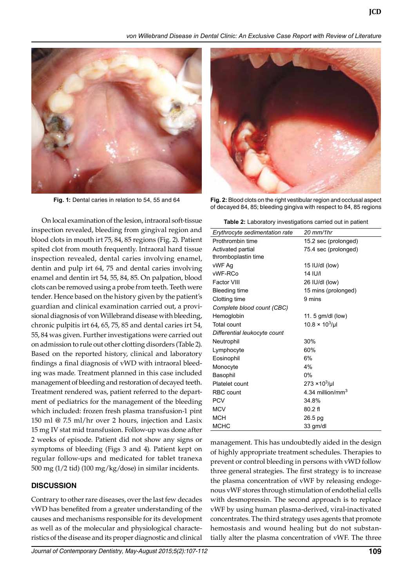*von Willebrand Disease in Dental Clinic: An Exclusive Case Report with Review of Literature*



On local examination of the lesion, intraoral soft-tissue inspection revealed, bleeding from gingival region and blood clots in mouth irt 75, 84, 85 regions (Fig. 2). Patient spited clot from mouth frequently. Intraoral hard tissue inspection revealed, dental caries involving enamel, dentin and pulp irt 64, 75 and dental caries involving enamel and dentin irt 54, 55, 84, 85. On palpation, blood clots can be removed using a probe from teeth. Teeth were tender. Hence based on the history given by the patient's guardian and clinical examination carried out, a provisional diagnosis of von Willebrand disease with bleeding, chronic pulpitis irt 64, 65, 75, 85 and dental caries irt 54, 55, 84 was given. Further investigations were carried out on admission to rule out other clotting disorders (Table 2). Based on the reported history, clinical and laboratory findings a final diagnosis of vWD with intraoral bleeding was made. Treatment planned in this case included management of bleeding and restoration of decayed teeth. Treatment rendered was, patient referred to the department of pediatrics for the management of the bleeding which included: frozen fresh plasma transfusion-1 pint 150 ml @ 7.5 ml/hr over 2 hours, injection and Lasix 15 mg IV stat mid transfusion. Follow-up was done after 2 weeks of episode. Patient did not show any signs or symptoms of bleeding (Figs 3 and 4). Patient kept on regular follow-ups and medicated for tablet tranexa 500 mg (1/2 tid) (100 mg/kg/dose) in similar incidents.

#### **DISCUSSION**

Contrary to other rare diseases, over the last few decades vWD has benefited from a greater understanding of the causes and mechanisms responsible for its development as well as of the molecular and physiological characteristics of the disease and its proper diagnostic and clinical



**Fig. 1:** Dental caries in relation to 54, 55 and 64 **Fig. 2:** Blood clots on the right vestibular region and occlusal aspect of decayed 84, 85; bleeding gingiva with respect to 84, 85 regions

| Table 2: Laboratory investigations carried out in patient |  |
|-----------------------------------------------------------|--|
|-----------------------------------------------------------|--|

| $20$ mm/1hr                  |  |  |  |
|------------------------------|--|--|--|
| 15.2 sec (prolonged)         |  |  |  |
| 75.4 sec (prolonged)         |  |  |  |
| thromboplastin time          |  |  |  |
| 15 IU/dl (low)               |  |  |  |
| <b>14 IU/I</b>               |  |  |  |
| 26 IU/dl (low)               |  |  |  |
| 15 mins (prolonged)          |  |  |  |
| 9 mins                       |  |  |  |
| Complete blood count (CBC)   |  |  |  |
| 11. 5 gm/dl (low)            |  |  |  |
| $10.8 \times 10^{3}$ /µl     |  |  |  |
| Differential leukocyte count |  |  |  |
| 30%                          |  |  |  |
| 60%                          |  |  |  |
| 6%                           |  |  |  |
| 4%                           |  |  |  |
| 0%                           |  |  |  |
| $273 \times 10^{3}$ /µl      |  |  |  |
| 4.34 million/mm <sup>3</sup> |  |  |  |
| 34.8%                        |  |  |  |
| $80.2$ fl                    |  |  |  |
| 26.5 pg                      |  |  |  |
| 33 gm/dl                     |  |  |  |
|                              |  |  |  |

management. This has undoubtedly aided in the design of highly appropriate treatment schedules. Therapies to prevent or control bleeding in persons with vWD follow three general strategies. The first strategy is to increase the plasma concentration of vWF by releasing endogenous vWF stores through stimulation of endothelial cells with desmopressin. The second approach is to replace vWF by using human plasma-derived, viral-inactivated concentrates. The third strategy uses agents that promote hemostasis and wound healing but do not substantially alter the plasma concentration of vWF. The three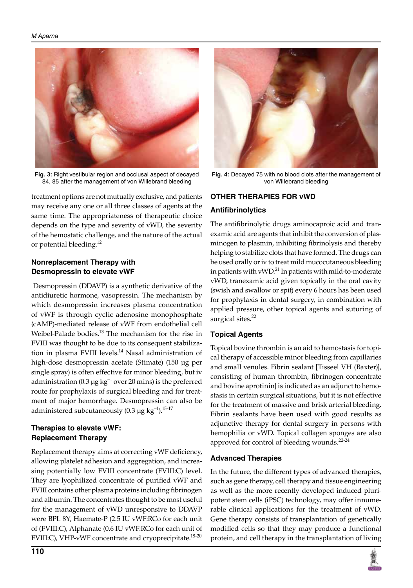

**Fig. 3:** Right vestibular region and occlusal aspect of decayed 84, 85 after the management of von Willebrand bleeding

treatment options are not mutually exclusive, and patients may receive any one or all three classes of agents at the same time. The appropriateness of therapeutic choice depends on the type and severity of vWD, the severity of the hemostatic challenge, and the nature of the actual or potential bleeding.<sup>12</sup>

#### **Nonreplacement Therapy with Desmopressin to elevate vWF**

 Desmopressin (DDAVP) is a synthetic derivative of the antidiuretic hormone, vasopressin. The mechanism by which desmopressin increases plasma concentration of vWF is through cyclic adenosine monophosphate (cAMP)-mediated release of vWF from endothelial cell Weibel-Palade bodies.<sup>13</sup> The mechanism for the rise in FVIII was thought to be due to its consequent stabilization in plasma FVIII levels.<sup>14</sup> Nasal administration of high-dose desmopressin acetate (Stimate) (150 µg per single spray) is often effective for minor bleeding, but iv administration (0.3  $\mu$ g kg<sup>-1</sup> over 20 mins) is the preferred route for prophylaxis of surgical bleeding and for treatment of major hemorrhage. Desmopressin can also be administered subcutaneously (0.3  $\mu$ g kg<sup>-1</sup>).<sup>15-17</sup>

## **Therapies to elevate vwf: Replacement Therapy**

Replacement therapy aims at correcting vWF deficiency, allowing platelet adhesion and aggregation, and increasing potentially low FVIII concentrate (FVIII:C) level. They are lyophilized concentrate of purified vWF and FVIII contains other plasma proteins including fibrinogen and albumin. The concentrates thought to be most useful for the management of vWD unresponsive to DDAVP were BPL 8Y, Haemate-P (2.5 IU vWF:RCo for each unit of (FVIII:C), Alphanate (0.6 IU vWF:RCo for each unit of FVIII:C), VHP-vWF concentrate and cryoprecipitate.<sup>18-20</sup>



**Fig. 4:** Decayed 75 with no blood clots after the management of von Willebrand bleeding

## **Other Therapies for vWD**

## **Antifibrinolytics**

The antifibrinolytic drugs aminocaproic acid and tranexamic acid are agents that inhibit the conversion of plasminogen to plasmin, inhibiting fibrinolysis and thereby helping to stabilize clots that have formed. The drugs can be used orally or iv to treat mild mucocutaneous bleeding in patients with vWD.<sup>21</sup> In patients with mild-to-moderate vWD, tranexamic acid given topically in the oral cavity (swish and swallow or spit) every 6 hours has been used for prophylaxis in dental surgery, in combination with applied pressure, other topical agents and suturing of surgical sites.<sup>22</sup>

## **Topical Agents**

Topical bovine thrombin is an aid to hemostasis for topical therapy of accessible minor bleeding from capillaries and small venules. Fibrin sealant [Tisseel VH (Baxter)], consisting of human thrombin, fibrinogen concentrate and bovine aprotinin] is indicated as an adjunct to hemostasis in certain surgical situations, but it is not effective for the treatment of massive and brisk arterial bleeding. Fibrin sealants have been used with good results as adjunctive therapy for dental surgery in persons with hemophilia or vWD. Topical collagen sponges are also approved for control of bleeding wounds.<sup>22-24</sup>

#### **Advanced Therapies**

In the future, the different types of advanced therapies, such as gene therapy, cell therapy and tissue engineering as well as the more recently developed induced pluripotent stem cells (iPSC) technology, may offer innumerable clinical applications for the treatment of vWD. Gene therapy consists of transplantation of genetically modified cells so that they may produce a functional protein, and cell therapy in the transplantation of living

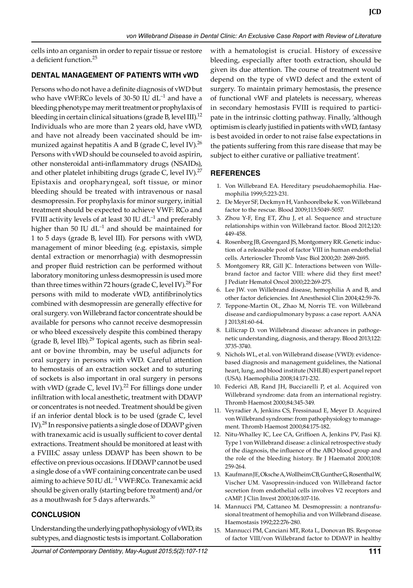cells into an organism in order to repair tissue or restore a deficient function.<sup>25</sup>

#### **DENTAL MANAGEMENT OF PATIENTS WITH vWD**

Persons who do not have a definite diagnosis of vWD but who have vWF:RCo levels of 30-50 IU  $dL^{-1}$  and have a bleeding phenotype may merit treatment or prophylaxis of bleeding in certain clinical situations (grade B, level III).<sup>12</sup> Individuals who are more than 2 years old, have vWD, and have not already been vaccinated should be immunized against hepatitis A and B (grade C, level IV).<sup>26</sup> Persons with vWD should be counseled to avoid aspirin, other nonsteroidal anti-inflammatory drugs (NSAIDs), and other platelet inhibiting drugs (grade C, level IV). $^{27}$ Epistaxis and oropharyngeal, soft tissue, or minor bleeding should be treated with intravenous or nasal desmopressin. For prophylaxis for minor surgery, initial treatment should be expected to achieve VWF: RCo and FVIII activity levels of at least 30 IU  $dL^{-1}$  and preferably higher than 50 IU  $dL^{-1}$  and should be maintained for 1 to 5 days (grade B, level III). For persons with vWD, management of minor bleeding (e.g. epistaxis, simple dental extraction or menorrhagia) with desmopressin and proper fluid restriction can be performed without laboratory monitoring unless desmopressin is used more than three times within 72 hours (grade C, level IV).<sup>28</sup> For persons with mild to moderate vWD, antifibrinolytics combined with desmopressin are generally effective for oral surgery. von Willebrand factor concentrate should be available for persons who cannot receive desmopressin or who bleed excessively despite this combined therapy (grade B, level IIb). $^{29}$  Topical agents, such as fibrin sealant or bovine thrombin, may be useful adjuncts for oral surgery in persons with vWD. Careful attention to hemostasis of an extraction socket and to suturing of sockets is also important in oral surgery in persons with vWD (grade C, level IV). $22$  For fillings done under infiltration with local anesthetic, treatment with DDAVP or concentrates is not needed. Treatment should be given if an inferior dental block is to be used (grade C, level IV).28 In responsive patients a single dose of DDAVP given with tranexamic acid is usually sufficient to cover dental extractions. Treatment should be monitored at least with a FVIII:C assay unless DDAVP has been shown to be effective on previous occasions. If DDAVP cannot be used a single dose of a vWF containing concentrate can be used aiming to achieve 50 IU dL $^{-1}$  VWF:RCo. Tranexamic acid should be given orally (starting before treatment) and/or as a mouthwash for 5 days afterwards. $30$ 

#### **CONCLUSION**

Understanding the underlying pathophysiology of vWD, its subtypes, and diagnostic tests is important. Collaboration with a hematologist is crucial. History of excessive bleeding, especially after tooth extraction, should be given its due attention. The course of treatment would depend on the type of vWD defect and the extent of surgery. To maintain primary hemostasis, the presence of functional vWF and platelets is necessary, whereas in secondary hemostasis FVIII is required to participate in the intrinsic clotting pathway. Finally, 'although optimism is clearly justified in patients with vWD, fantasy is best avoided in order to not raise false expectations in the patients suffering from this rare disease that may be subject to either curative or palliative treatment'.

#### **REFERENCES**

- 1. Von Willebrand EA. Hereditary pseudohaemophilia. Haemophilia 1999;5:223-231.
- 2. De Meyer SF, Deckmyn H, Vanhoorelbeke K. von Willebrand factor to the rescue. Blood 2009;113:5049-5057.
- 3. Zhou Y-F, Eng ET, Zhu J, et al. Sequence and structure relationships within von Willebrand factor. Blood 2012;120: 449-458.
- 4. Rosenberg JB, Greengard JS, Montgomery RR. Genetic induction of a releasable pool of factor VIII in human endothelial cells. Arterioscler Thromb Vasc Biol 2000;20: 2689-2695.
- 5. Montgomery RR, Gill JC. Interactions between von Willebrand factor and factor VIII: where did they first meet? J Pediatr Hematol Oncol 2000;22:269-275.
- 6. Lee JW. von Willebrand disease, hemophilia A and B, and other factor deficiencies. Int Anesthesiol Clin 2004;42:59-76.
- 7. Teppone-Martin OL, Zhao M, Norris TE. von Willebrand disease and cardiopulmonary bypass: a case report. AANA J 2013;81:60-64.
- 8. Lillicrap D. von Willebrand disease: advances in pathogenetic understanding, diagnosis, and therapy. Blood 2013;122: 3735-3740.
- 9. Nichols WL, et al. von Willebrand disease (VWD): evidencebased diagnosis and management guidelines, the National heart, lung, and blood institute (NHLBI) expert panel report (USA). Haemophilia 2008;14:171-232.
- 10. Federici AB, Rand JH, Bucciarelli P, et al. Acquired von Willebrand syndrome: data from an international registry. Thromb Haemost 2000;84:345-349.
- 11. Veyradier A, Jenkins CS, Fressinaud E, Meyer D. Acquired von Willebrand syndrome: from pathophysiology to management. Thromb Haemost 2000;84:175-182.
- 12. Nitu-Whalley IC, Lee CA, Griffioen A, Jenkins PV, Pasi KJ. Type 1 von Willebrand disease: a clinical retrospective study of the diagnosis, the influence of the ABO blood group and the role of the bleeding history. Br J Haematol 2000;108: 259-264.
- 13. Kaufmann JE, Oksche A, Wollheim CB, Gunther G, Rosenthal W, Vischer UM. Vasopressin-induced von Willebrand factor secretion from endothelial cells involves V2 receptors and cAMP. J Clin Invest 2000;106:107-116.
- 14. Mannucci PM, Cattaneo M. Desmopressin: a nontransfusional treatment of hemophilia and von Willebrand disease. Haemostasis 1992;22:276-280.
- 15. Mannucci PM, Canciani MT, Rota L, Donovan BS. Response of factor VIII/von Willebrand factor to DDAVP in healthy